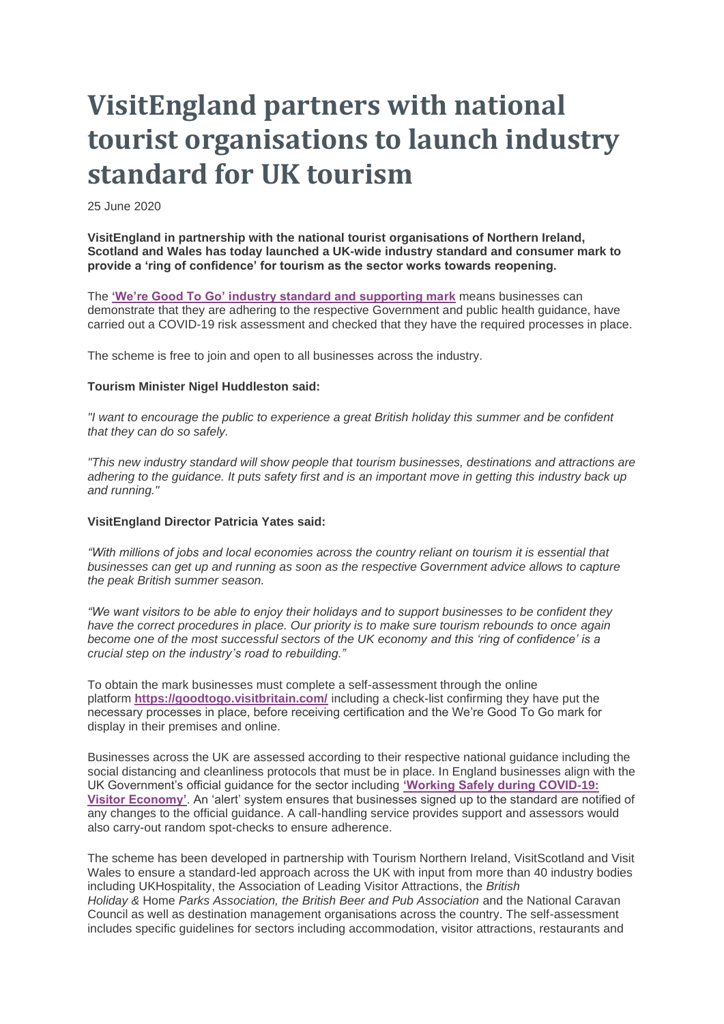# **VisitEngland partners with national tourist organisations to launch industry standard for UK tourism**

25 June 2020

**VisitEngland in partnership with the national tourist organisations of Northern Ireland, Scotland and Wales has today launched a UK-wide industry standard and consumer mark to provide a 'ring of confidence' for tourism as the sector works towards reopening.**

The **['We're Good To Go' industry standard and supporting mark](https://goodtogo.visitbritain.com/)** means businesses can demonstrate that they are adhering to the respective Government and public health guidance, have carried out a COVID-19 risk assessment and checked that they have the required processes in place.

The scheme is free to join and open to all businesses across the industry.

### **Tourism Minister Nigel Huddleston said:**

*"I want to encourage the public to experience a great British holiday this summer and be confident that they can do so safely.*

*"This new industry standard will show people that tourism businesses, destinations and attractions are adhering to the guidance. It puts safety first and is an important move in getting this industry back up and running."*

### **VisitEngland Director Patricia Yates said:**

*"With millions of jobs and local economies across the country reliant on tourism it is essential that businesses can get up and running as soon as the respective Government advice allows to capture the peak British summer season.*

*"We want visitors to be able to enjoy their holidays and to support businesses to be confident they have the correct procedures in place. Our priority is to make sure tourism rebounds to once again become one of the most successful sectors of the UK economy and this 'ring of confidence' is a crucial step on the industry's road to rebuilding."*

To obtain the mark businesses must complete a self-assessment through the online platform **<https://goodtogo.visitbritain.com/>** including a check-list confirming they have put the necessary processes in place, before receiving certification and the We're Good To Go mark for display in their premises and online.

Businesses across the UK are assessed according to their respective national guidance including the social distancing and cleanliness protocols that must be in place. In England businesses align with the UK Government's official guidance for the sector including **['Working Safely during COVID-19:](https://www.gov.uk/guidance/working-safely-during-coronavirus-covid-19/the-visitor-economy)  [Visitor Economy'](https://www.gov.uk/guidance/working-safely-during-coronavirus-covid-19/the-visitor-economy)**. An 'alert' system ensures that businesses signed up to the standard are notified of any changes to the official guidance. A call-handling service provides support and assessors would also carry-out random spot-checks to ensure adherence.

The scheme has been developed in partnership with Tourism Northern Ireland, VisitScotland and Visit Wales to ensure a standard-led approach across the UK with input from more than 40 industry bodies including UKHospitality, the Association of Leading Visitor Attractions, the *British Holiday &* Home *Parks Association, the British Beer and Pub Association* and the National Caravan Council as well as destination management organisations across the country. The self-assessment includes specific guidelines for sectors including accommodation, visitor attractions, restaurants and